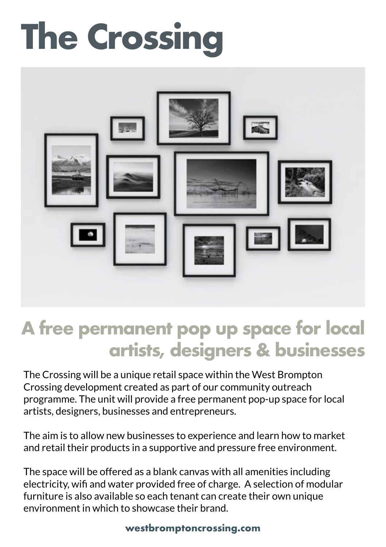## **The Crossing**



## **A free permanent pop up space for local artists, designers & businesses**

The Crossing will be a unique retail space within the West Brompton Crossing development created as part of our community outreach programme. The unit will provide a free permanent pop-up space for local artists, designers, businesses and entrepreneurs.

The aim is to allow new businesses to experience and learn how to market and retail their products in a supportive and pressure free environment.

The space will be offered as a blank canvas with all amenities including electricity, wifi and water provided free of charge. A selection of modular furniture is also available so each tenant can create their own unique environment in which to showcase their brand.

## **westbromptoncrossing.com**